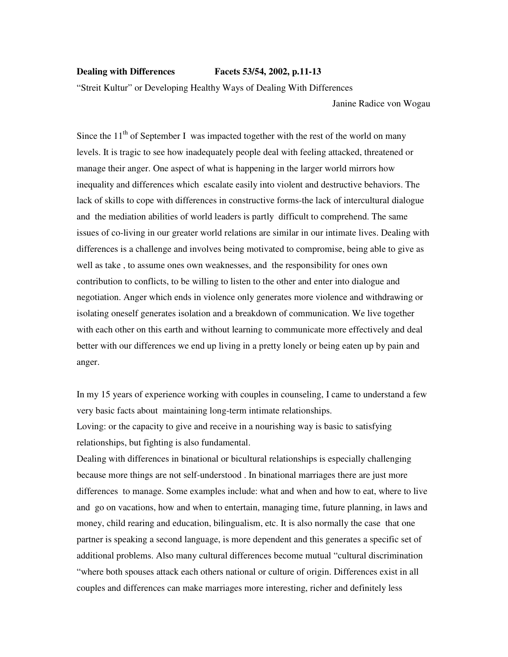## **Dealing with Differences Facets 53/54, 2002, p.11-13**

"Streit Kultur" or Developing Healthy Ways of Dealing With Differences

Janine Radice von Wogau

Since the  $11<sup>th</sup>$  of September I was impacted together with the rest of the world on many levels. It is tragic to see how inadequately people deal with feeling attacked, threatened or manage their anger. One aspect of what is happening in the larger world mirrors how inequality and differences which escalate easily into violent and destructive behaviors. The lack of skills to cope with differences in constructive forms-the lack of intercultural dialogue and the mediation abilities of world leaders is partly difficult to comprehend. The same issues of co-living in our greater world relations are similar in our intimate lives. Dealing with differences is a challenge and involves being motivated to compromise, being able to give as well as take , to assume ones own weaknesses, and the responsibility for ones own contribution to conflicts, to be willing to listen to the other and enter into dialogue and negotiation. Anger which ends in violence only generates more violence and withdrawing or isolating oneself generates isolation and a breakdown of communication. We live together with each other on this earth and without learning to communicate more effectively and deal better with our differences we end up living in a pretty lonely or being eaten up by pain and anger.

In my 15 years of experience working with couples in counseling, I came to understand a few very basic facts about maintaining long-term intimate relationships. Loving: or the capacity to give and receive in a nourishing way is basic to satisfying relationships, but fighting is also fundamental.

Dealing with differences in binational or bicultural relationships is especially challenging because more things are not self-understood . In binational marriages there are just more differences to manage. Some examples include: what and when and how to eat, where to live and go on vacations, how and when to entertain, managing time, future planning, in laws and money, child rearing and education, bilingualism, etc. It is also normally the case that one partner is speaking a second language, is more dependent and this generates a specific set of additional problems. Also many cultural differences become mutual "cultural discrimination "where both spouses attack each others national or culture of origin. Differences exist in all couples and differences can make marriages more interesting, richer and definitely less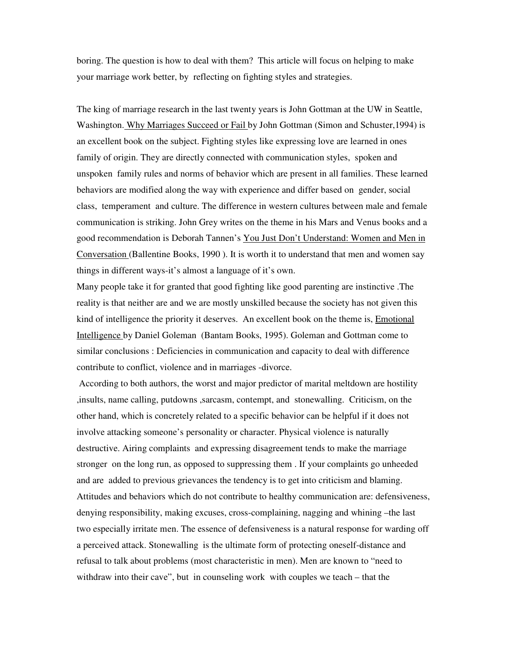boring. The question is how to deal with them? This article will focus on helping to make your marriage work better, by reflecting on fighting styles and strategies.

The king of marriage research in the last twenty years is John Gottman at the UW in Seattle, Washington. Why Marriages Succeed or Fail by John Gottman (Simon and Schuster,1994) is an excellent book on the subject. Fighting styles like expressing love are learned in ones family of origin. They are directly connected with communication styles, spoken and unspoken family rules and norms of behavior which are present in all families. These learned behaviors are modified along the way with experience and differ based on gender, social class, temperament and culture. The difference in western cultures between male and female communication is striking. John Grey writes on the theme in his Mars and Venus books and a good recommendation is Deborah Tannen's You Just Don't Understand: Women and Men in Conversation (Ballentine Books, 1990 ). It is worth it to understand that men and women say things in different ways-it's almost a language of it's own.

Many people take it for granted that good fighting like good parenting are instinctive .The reality is that neither are and we are mostly unskilled because the society has not given this kind of intelligence the priority it deserves. An excellent book on the theme is, Emotional Intelligence by Daniel Goleman (Bantam Books, 1995). Goleman and Gottman come to similar conclusions : Deficiencies in communication and capacity to deal with difference contribute to conflict, violence and in marriages -divorce.

 According to both authors, the worst and major predictor of marital meltdown are hostility ,insults, name calling, putdowns ,sarcasm, contempt, and stonewalling. Criticism, on the other hand, which is concretely related to a specific behavior can be helpful if it does not involve attacking someone's personality or character. Physical violence is naturally destructive. Airing complaints and expressing disagreement tends to make the marriage stronger on the long run, as opposed to suppressing them . If your complaints go unheeded and are added to previous grievances the tendency is to get into criticism and blaming. Attitudes and behaviors which do not contribute to healthy communication are: defensiveness, denying responsibility, making excuses, cross-complaining, nagging and whining –the last two especially irritate men. The essence of defensiveness is a natural response for warding off a perceived attack. Stonewalling is the ultimate form of protecting oneself-distance and refusal to talk about problems (most characteristic in men). Men are known to "need to withdraw into their cave", but in counseling work with couples we teach – that the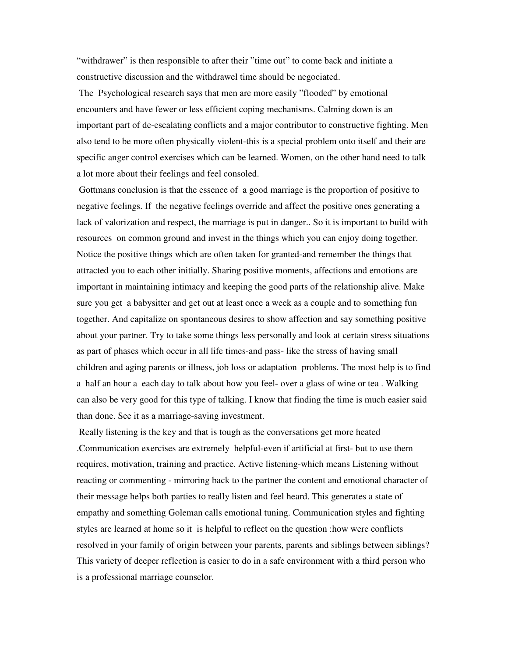"withdrawer" is then responsible to after their "time out" to come back and initiate a constructive discussion and the withdrawel time should be negociated.

 The Psychological research says that men are more easily "flooded" by emotional encounters and have fewer or less efficient coping mechanisms. Calming down is an important part of de-escalating conflicts and a major contributor to constructive fighting. Men also tend to be more often physically violent-this is a special problem onto itself and their are specific anger control exercises which can be learned. Women, on the other hand need to talk a lot more about their feelings and feel consoled.

 Gottmans conclusion is that the essence of a good marriage is the proportion of positive to negative feelings. If the negative feelings override and affect the positive ones generating a lack of valorization and respect, the marriage is put in danger.. So it is important to build with resources on common ground and invest in the things which you can enjoy doing together. Notice the positive things which are often taken for granted-and remember the things that attracted you to each other initially. Sharing positive moments, affections and emotions are important in maintaining intimacy and keeping the good parts of the relationship alive. Make sure you get a babysitter and get out at least once a week as a couple and to something fun together. And capitalize on spontaneous desires to show affection and say something positive about your partner. Try to take some things less personally and look at certain stress situations as part of phases which occur in all life times-and pass- like the stress of having small children and aging parents or illness, job loss or adaptation problems. The most help is to find a half an hour a each day to talk about how you feel- over a glass of wine or tea . Walking can also be very good for this type of talking. I know that finding the time is much easier said than done. See it as a marriage-saving investment.

 Really listening is the key and that is tough as the conversations get more heated .Communication exercises are extremely helpful-even if artificial at first- but to use them requires, motivation, training and practice. Active listening-which means Listening without reacting or commenting - mirroring back to the partner the content and emotional character of their message helps both parties to really listen and feel heard. This generates a state of empathy and something Goleman calls emotional tuning. Communication styles and fighting styles are learned at home so it is helpful to reflect on the question :how were conflicts resolved in your family of origin between your parents, parents and siblings between siblings? This variety of deeper reflection is easier to do in a safe environment with a third person who is a professional marriage counselor.